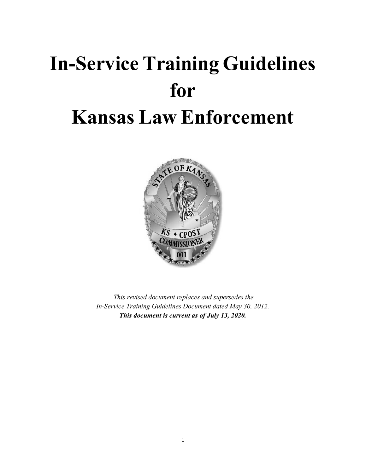# In-Service Training Guidelines for Kansas Law Enforcement



This revised document replaces and supersedes the In-Service Training Guidelines Document dated May 30, 2012. This document is current as of July 13, 2020.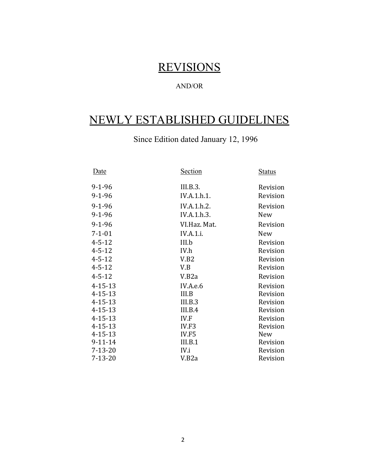# **REVISIONS**

# AND/OR

# NEWLY ESTABLISHED GUIDELINES

Since Edition dated January 12, 1996

| Date          | <b>Section</b>     | <b>Status</b> |
|---------------|--------------------|---------------|
| $9 - 1 - 96$  | III.B.3.           | Revision      |
| $9 - 1 - 96$  | IV.A.1.h.1.        | Revision      |
| $9 - 1 - 96$  | IV.A.1.h.2.        | Revision      |
| $9 - 1 - 96$  | IV.A.1.h.3.        | New           |
| $9 - 1 - 96$  | VI.Haz. Mat.       | Revision      |
| $7 - 1 - 01$  | <b>IV.A.1.i.</b>   | <b>New</b>    |
| $4 - 5 - 12$  | III.b              | Revision      |
| $4 - 5 - 12$  | IV.h               | Revision      |
| $4 - 5 - 12$  | V.B2               | Revision      |
| $4 - 5 - 12$  | V.B                | Revision      |
| $4 - 5 - 12$  | V.B <sub>2</sub> a | Revision      |
| $4 - 15 - 13$ | IV.A.e.6           | Revision      |
| $4 - 15 - 13$ | III.B              | Revision      |
| $4 - 15 - 13$ | III.B.3            | Revision      |
| $4 - 15 - 13$ | III.B.4            | Revision      |
| $4 - 15 - 13$ | IV.F               | Revision      |
| $4 - 15 - 13$ | IV.F3              | Revision      |
| $4 - 15 - 13$ | IV.F5              | New           |
| $9 - 11 - 14$ | III.B.1            | Revision      |
| $7 - 13 - 20$ | IV.i               | Revision      |
| 7-13-20       | V.B <sub>2</sub> a | Revision      |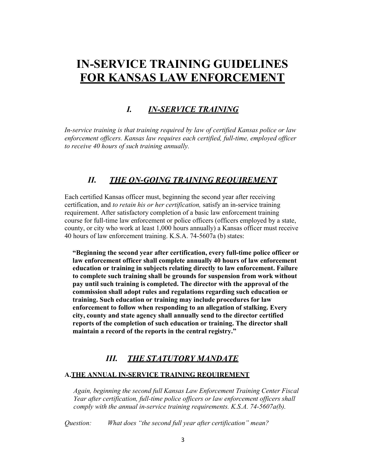# IN-SERVICE TRAINING GUIDELINES FOR KANSAS LAW ENFORCEMENT

## I. IN-SERVICE TRAINING

In-service training is that training required by law of certified Kansas police or law enforcement officers. Kansas law requires each certified, full-time, employed officer to receive 40 hours of such training annually.

# II. THE ON-GOING TRAINING REQUIREMENT

Each certified Kansas officer must, beginning the second year after receiving certification, and to retain his or her certification, satisfy an in-service training requirement. After satisfactory completion of a basic law enforcement training course for full-time law enforcement or police officers (officers employed by a state, county, or city who work at least 1,000 hours annually) a Kansas officer must receive 40 hours of law enforcement training. K.S.A. 74-5607a (b) states:

"Beginning the second year after certification, every full-time police officer or law enforcement officer shall complete annually 40 hours of law enforcement education or training in subjects relating directly to law enforcement. Failure to complete such training shall be grounds for suspension from work without pay until such training is completed. The director with the approval of the commission shall adopt rules and regulations regarding such education or training. Such education or training may include procedures for law enforcement to follow when responding to an allegation of stalking. Every city, county and state agency shall annually send to the director certified reports of the completion of such education or training. The director shall maintain a record of the reports in the central registry."

### III. THE STATUTORY MANDATE

#### A.THE ANNUAL IN-SERVICE TRAINING REQUIREMENT

Again, beginning the second full Kansas Law Enforcement Training Center Fiscal Year after certification, full-time police officers or law enforcement officers shall comply with the annual in-service training requirements. K.S.A. 74-5607 $a(b)$ .

Question: What does "the second full year after certification" mean?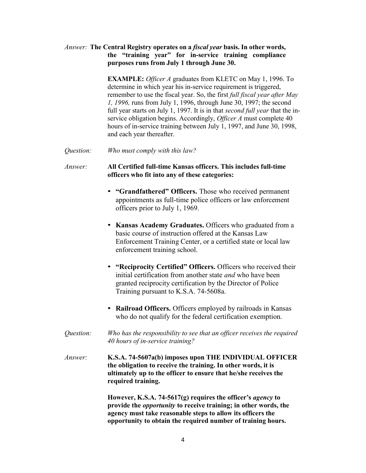#### Answer: The Central Registry operates on a *fiscal year* basis. In other words, the "training year" for in-service training compliance purposes runs from July 1 through June 30.

EXAMPLE: Officer A graduates from KLETC on May 1, 1996. To determine in which year his in-service requirement is triggered, remember to use the fiscal year. So, the first *full fiscal year after May* 1, 1996, runs from July 1, 1996, through June 30, 1997; the second full year starts on July 1, 1997. It is in that second full year that the inservice obligation begins. Accordingly, *Officer A* must complete 40 hours of in-service training between July 1, 1997, and June 30, 1998, and each year thereafter.

Question: Who must comply with this law?

#### Answer: All Certified full-time Kansas officers. This includes full-time officers who fit into any of these categories:

- "Grandfathered" Officers. Those who received permanent appointments as full-time police officers or law enforcement officers prior to July 1, 1969.
- Kansas Academy Graduates. Officers who graduated from a basic course of instruction offered at the Kansas Law Enforcement Training Center, or a certified state or local law enforcement training school.
- "Reciprocity Certified" Officers. Officers who received their initial certification from another state *and* who have been granted reciprocity certification by the Director of Police Training pursuant to K.S.A. 74-5608a.
- Railroad Officers. Officers employed by railroads in Kansas who do not qualify for the federal certification exemption.
- Question: Who has the responsibility to see that an officer receives the required 40 hours of in-service training?
- Answer: K.S.A. 74-5607a(b) imposes upon THE INDIVIDUAL OFFICER the obligation to receive the training. In other words, it is ultimately up to the officer to ensure that he/she receives the required training.

However, K.S.A. 74-5617(g) requires the officer's agency to provide the opportunity to receive training; in other words, the agency must take reasonable steps to allow its officers the opportunity to obtain the required number of training hours.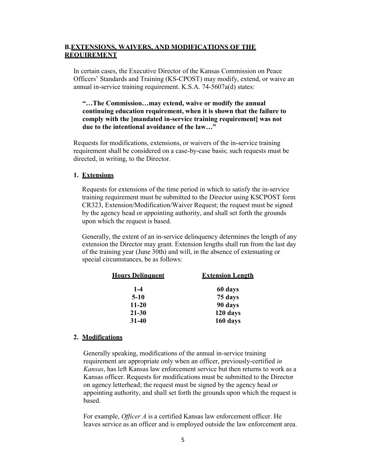#### B.EXTENSIONS, WAIVERS, AND MODIFICATIONS OF THE REQUIREMENT

In certain cases, the Executive Director of the Kansas Commission on Peace Officers' Standards and Training (KS-CPOST) may modify, extend, or waive an annual in-service training requirement. K.S.A. 74-5607a(d) states:

#### "…The Commission…may extend, waive or modify the annual continuing education requirement, when it is shown that the failure to comply with the [mandated in-service training requirement] was not due to the intentional avoidance of the law…"

Requests for modifications, extensions, or waivers of the in-service training requirement shall be considered on a case-by-case basis; such requests must be directed, in writing, to the Director.

#### 1. Extensions

Requests for extensions of the time period in which to satisfy the in-service training requirement must be submitted to the Director using KSCPOST form CR323, Extension/Modification/Waiver Request; the request must be signed by the agency head or appointing authority, and shall set forth the grounds upon which the request is based.

Generally, the extent of an in-service delinquency determines the length of any extension the Director may grant. Extension lengths shall run from the last day of the training year (June 30th) and will, in the absence of extenuating or special circumstances, be as follows:

| <b>Hours Delinquent</b> | <b>Extension Length</b> |  |
|-------------------------|-------------------------|--|
| $1 - 4$                 | 60 days                 |  |
| $5-10$                  | 75 days                 |  |
| $11 - 20$               | 90 days                 |  |
| $21 - 30$               | 120 days                |  |
| $31 - 40$               | 160 days                |  |

#### 2. Modifications

Generally speaking, modifications of the annual in-service training requirement are appropriate only when an officer, previously-certified in Kansas, has left Kansas law enforcement service but then returns to work as a Kansas officer. Requests for modifications must be submitted to the Director on agency letterhead; the request must be signed by the agency head or appointing authority, and shall set forth the grounds upon which the request is based.

For example, Officer A is a certified Kansas law enforcement officer. He leaves service as an officer and is employed outside the law enforcement area.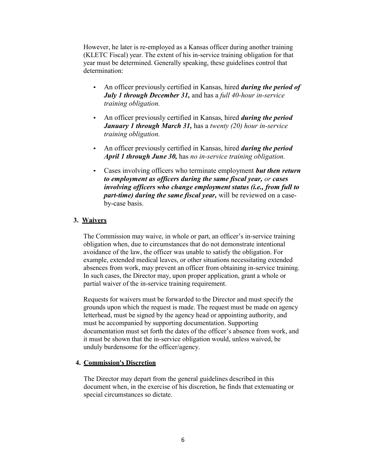However, he later is re-employed as a Kansas officer during another training (KLETC Fiscal) year. The extent of his in-service training obligation for that year must be determined. Generally speaking, these guidelines control that determination:

- An officer previously certified in Kansas, hired *during the period of* July 1 through December 31, and has a full 40-hour in-service training obligation.
- An officer previously certified in Kansas, hired *during the period* **January 1 through March 31, has a twenty (20) hour in-service** training obligation.
- An officer previously certified in Kansas, hired *during the period* April 1 through June 30, has no in-service training obligation.
- Cases involving officers who terminate employment but then return to employment as officers during the same fiscal year, or cases involving officers who change employment status (i.e., from full to *part-time) during the same fiscal year, will be reviewed on a case*by-case basis.

#### 3. Waivers

The Commission may waive, in whole or part, an officer's in-service training obligation when, due to circumstances that do not demonstrate intentional avoidance of the law, the officer was unable to satisfy the obligation. For example, extended medical leaves, or other situations necessitating extended absences from work, may prevent an officer from obtaining in-service training. In such cases, the Director may, upon proper application, grant a whole or partial waiver of the in-service training requirement.

Requests for waivers must be forwarded to the Director and must specify the grounds upon which the request is made. The request must be made on agency letterhead, must be signed by the agency head or appointing authority, and must be accompanied by supporting documentation. Supporting documentation must set forth the dates of the officer's absence from work, and it must be shown that the in-service obligation would, unless waived, be unduly burdensome for the officer/agency.

#### 4. Commission's Discretion

The Director may depart from the general guidelines described in this document when, in the exercise of his discretion, he finds that extenuating or special circumstances so dictate.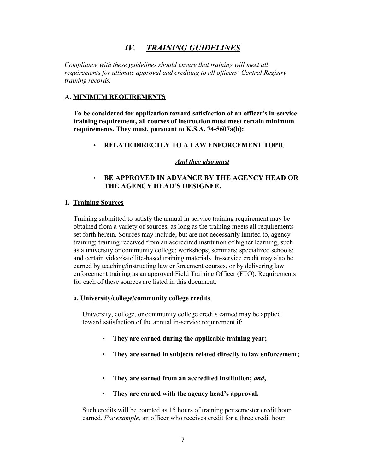## IV. TRAINING GUIDELINES

Compliance with these guidelines should ensure that training will meet all requirements for ultimate approval and crediting to all officers' Central Registry training records.

#### A. MINIMUM REQUIREMENTS

To be considered for application toward satisfaction of an officer's in-service training requirement, all courses of instruction must meet certain minimum requirements. They must, pursuant to K.S.A. 74-5607a(b):

• RELATE DIRECTLY TO A LAW ENFORCEMENT TOPIC

#### And they also must

#### BE APPROVED IN ADVANCE BY THE AGENCY HEAD OR THE AGENCY HEAD'S DESIGNEE.

#### 1. Training Sources

Training submitted to satisfy the annual in-service training requirement may be obtained from a variety of sources, as long as the training meets all requirements set forth herein. Sources may include, but are not necessarily limited to, agency training; training received from an accredited institution of higher learning, such as a university or community college; workshops; seminars; specialized schools; and certain video/satellite-based training materials. In-service credit may also be earned by teaching/instructing law enforcement courses, or by delivering law enforcement training as an approved Field Training Officer (FTO). Requirements for each of these sources are listed in this document.

#### a. University/college/community college credits

University, college, or community college credits earned may be applied toward satisfaction of the annual in-service requirement if:

- They are earned during the applicable training year;
- They are earned in subjects related directly to law enforcement;
- They are earned from an accredited institution; and,
- They are earned with the agency head's approval.

Such credits will be counted as 15 hours of training per semester credit hour earned. For example, an officer who receives credit for a three credit hour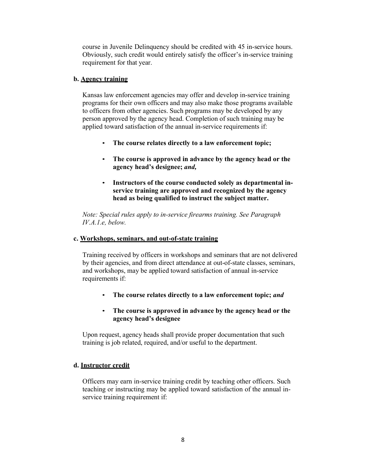course in Juvenile Delinquency should be credited with 45 in-service hours. Obviously, such credit would entirely satisfy the officer's in-service training requirement for that year.

#### b. Agency training

Kansas law enforcement agencies may offer and develop in-service training programs for their own officers and may also make those programs available to officers from other agencies. Such programs may be developed by any person approved by the agency head. Completion of such training may be applied toward satisfaction of the annual in-service requirements if:

- The course relates directly to a law enforcement topic;
- The course is approved in advance by the agency head or the agency head's designee; and,
- Instructors of the course conducted solely as departmental inservice training are approved and recognized by the agency head as being qualified to instruct the subject matter.

Note: Special rules apply to in-service firearms training. See Paragraph IV.A.1.e, below.

#### c. Workshops, seminars, and out-of-state training

Training received by officers in workshops and seminars that are not delivered by their agencies, and from direct attendance at out-of-state classes, seminars, and workshops, may be applied toward satisfaction of annual in-service requirements if:

- The course relates directly to a law enforcement topic; and
- The course is approved in advance by the agency head or the agency head's designee

Upon request, agency heads shall provide proper documentation that such training is job related, required, and/or useful to the department.

#### d. Instructor credit

Officers may earn in-service training credit by teaching other officers. Such teaching or instructing may be applied toward satisfaction of the annual inservice training requirement if: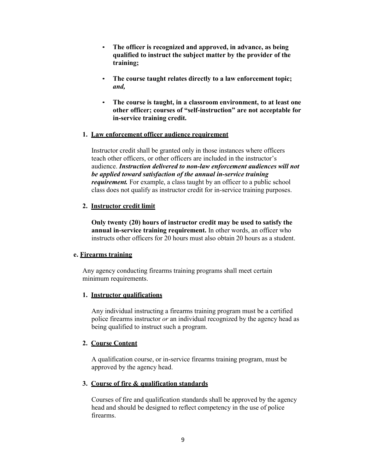- The officer is recognized and approved, in advance, as being qualified to instruct the subject matter by the provider of the training;
- The course taught relates directly to a law enforcement topic; and,
- The course is taught, in a classroom environment, to at least one other officer; courses of "self-instruction" are not acceptable for in-service training credit.

#### 1. Law enforcement officer audience requirement

Instructor credit shall be granted only in those instances where officers teach other officers, or other officers are included in the instructor's audience. Instruction delivered to non-law enforcement audiences will not be applied toward satisfaction of the annual in-service training requirement. For example, a class taught by an officer to a public school class does not qualify as instructor credit for in-service training purposes.

#### 2. Instructor credit limit

Only twenty (20) hours of instructor credit may be used to satisfy the annual in-service training requirement. In other words, an officer who instructs other officers for 20 hours must also obtain 20 hours as a student.

#### e. Firearms training

Any agency conducting firearms training programs shall meet certain minimum requirements.

#### 1. Instructor qualifications

Any individual instructing a firearms training program must be a certified police firearms instructor or an individual recognized by the agency head as being qualified to instruct such a program.

#### 2. Course Content

A qualification course, or in-service firearms training program, must be approved by the agency head.

#### 3. Course of fire & qualification standards

Courses of fire and qualification standards shall be approved by the agency head and should be designed to reflect competency in the use of police firearms.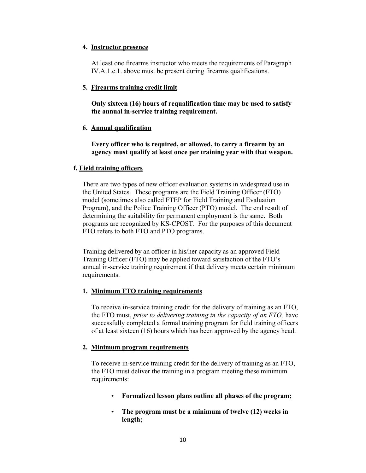#### 4. Instructor presence

At least one firearms instructor who meets the requirements of Paragraph IV.A.1.e.1. above must be present during firearms qualifications.

#### 5. Firearms training credit limit

Only sixteen (16) hours of requalification time may be used to satisfy the annual in-service training requirement.

#### 6. Annual qualification

Every officer who is required, or allowed, to carry a firearm by an agency must qualify at least once per training year with that weapon.

#### f. Field training officers

There are two types of new officer evaluation systems in widespread use in the United States. These programs are the Field Training Officer (FTO) model (sometimes also called FTEP for Field Training and Evaluation Program), and the Police Training Officer (PTO) model. The end result of determining the suitability for permanent employment is the same. Both programs are recognized by KS-CPOST. For the purposes of this document FTO refers to both FTO and PTO programs.

Training delivered by an officer in his/her capacity as an approved Field Training Officer (FTO) may be applied toward satisfaction of the FTO's annual in-service training requirement if that delivery meets certain minimum requirements.

#### 1. Minimum FTO training requirements

To receive in-service training credit for the delivery of training as an FTO, the FTO must, prior to delivering training in the capacity of an FTO, have successfully completed a formal training program for field training officers of at least sixteen (16) hours which has been approved by the agency head.

#### 2. Minimum program requirements

To receive in-service training credit for the delivery of training as an FTO, the FTO must deliver the training in a program meeting these minimum requirements:

- Formalized lesson plans outline all phases of the program;
- The program must be a minimum of twelve (12) weeks in length;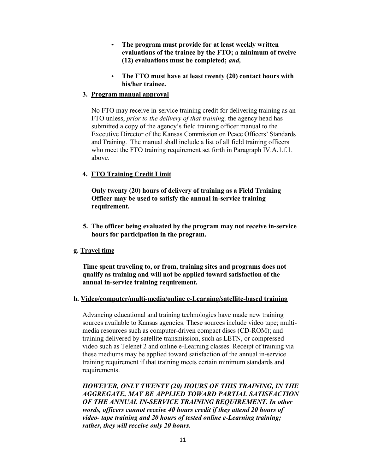- The program must provide for at least weekly written evaluations of the trainee by the FTO; a minimum of twelve (12) evaluations must be completed; and,
- The FTO must have at least twenty (20) contact hours with his/her trainee.

#### 3. Program manual approval

No FTO may receive in-service training credit for delivering training as an FTO unless, *prior to the delivery of that training*, the agency head has submitted a copy of the agency's field training officer manual to the Executive Director of the Kansas Commission on Peace Officers' Standards and Training. The manual shall include a list of all field training officers who meet the FTO training requirement set forth in Paragraph IV.A.1.f.1. above.

#### 4. FTO Training Credit Limit

Only twenty (20) hours of delivery of training as a Field Training Officer may be used to satisfy the annual in-service training requirement.

5. The officer being evaluated by the program may not receive in-service hours for participation in the program.

#### g. Travel time

Time spent traveling to, or from, training sites and programs does not qualify as training and will not be applied toward satisfaction of the annual in-service training requirement.

#### h. Video/computer/multi-media/online e-Learning/satellite-based training

Advancing educational and training technologies have made new training sources available to Kansas agencies. These sources include video tape; multimedia resources such as computer-driven compact discs (CD-ROM); and training delivered by satellite transmission, such as LETN, or compressed video such as Telenet 2 and online e-Learning classes. Receipt of training via these mediums may be applied toward satisfaction of the annual in-service training requirement if that training meets certain minimum standards and requirements.

HOWEVER, ONLY TWENTY (20) HOURS OF THIS TRAINING, IN THE AGGREGATE, MAY BE APPLIED TOWARD PARTIAL SATISFACTION OF THE ANNUAL IN-SERVICE TRAINING REQUIREMENT. In other words, officers cannot receive 40 hours credit if they attend 20 hours of video- tape training and 20 hours of tested online e-Learning training; rather, they will receive only 20 hours.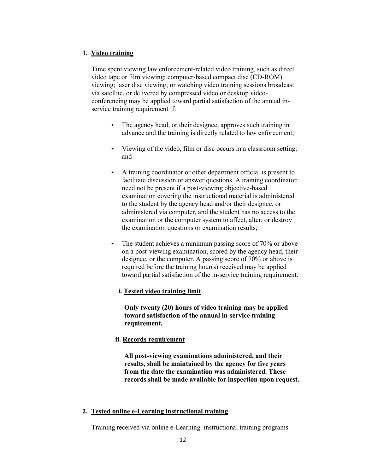#### 1. Video training

Time spent viewing law enforcement-related video training, such as direct video tape or film viewing; computer-based compact disc (CD-ROM) viewing; laser disc viewing; or watching video training sessions broadcast via satellite, or delivered by compressed video or desktop videoconferencing may be applied toward partial satisfaction of the annual inservice training requirement if:

- The agency head, or their designee, approves such training in advance and the training is directly related to law enforcement;
- Viewing of the video, film or disc occurs in a classroom setting; and
- A training coordinator or other department official is present to facilitate discussion or answer questions. A training coordinator need not be present if a post-viewing objective-based examination covering the instructional material is administered to the student by the agency head and/or their designee, or administered via computer, and the student has no access to the examination or the computer system to affect, alter, or destroy the examination questions or examination results;
- The student achieves a minimum passing score of 70% or above on a post-viewing examination, scored by the agency head, their designee, or the computer. A passing score of 70% or above is required before the training hour(s) received may be applied toward partial satisfaction of the in-service training requirement.

#### i. Tested video training limit

Only twenty (20) hours of video training may be applied toward satisfaction of the annual in-service training requirement.

#### ii. Records requirement

All post-viewing examinations administered, and their results, shall be maintained by the agency for five years from the date the examination was administered. These records shall be made available for inspection upon request.

#### 2. Tested online e-Learning instructional training

Training received via online e-Learning instructional training programs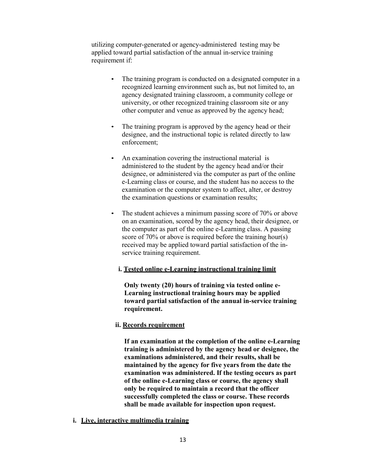utilizing computer-generated or agency-administered testing may be applied toward partial satisfaction of the annual in-service training requirement if:

- The training program is conducted on a designated computer in a recognized learning environment such as, but not limited to, an agency designated training classroom, a community college or university, or other recognized training classroom site or any other computer and venue as approved by the agency head;
- The training program is approved by the agency head or their designee, and the instructional topic is related directly to law enforcement;
- An examination covering the instructional material is administered to the student by the agency head and/or their designee, or administered via the computer as part of the online e-Learning class or course, and the student has no access to the examination or the computer system to affect, alter, or destroy the examination questions or examination results;
- The student achieves a minimum passing score of 70% or above on an examination, scored by the agency head, their designee, or the computer as part of the online e-Learning class. A passing score of 70% or above is required before the training hour(s) received may be applied toward partial satisfaction of the inservice training requirement.

#### i. Tested online e-Learning instructional training limit

Only twenty (20) hours of training via tested online e-Learning instructional training hours may be applied toward partial satisfaction of the annual in-service training requirement.

#### ii. Records requirement

If an examination at the completion of the online e-Learning training is administered by the agency head or designee, the examinations administered, and their results, shall be maintained by the agency for five years from the date the examination was administered. If the testing occurs as part of the online e-Learning class or course, the agency shall only be required to maintain a record that the officer successfully completed the class or course. These records shall be made available for inspection upon request.

i. Live, interactive multimedia training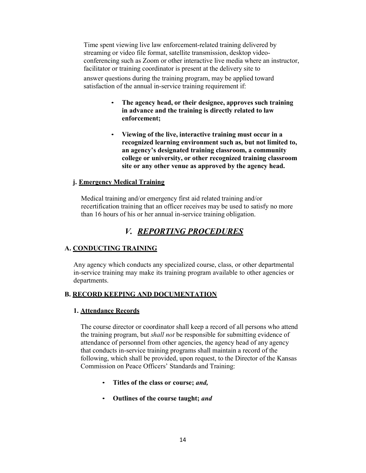Time spent viewing live law enforcement-related training delivered by streaming or video file format, satellite transmission, desktop videoconferencing such as Zoom or other interactive live media where an instructor, facilitator or training coordinator is present at the delivery site to

answer questions during the training program, may be applied toward satisfaction of the annual in-service training requirement if:

- The agency head, or their designee, approves such training in advance and the training is directly related to law enforcement;
- Viewing of the live, interactive training must occur in a recognized learning environment such as, but not limited to, an agency's designated training classroom, a community college or university, or other recognized training classroom site or any other venue as approved by the agency head.

#### j. Emergency Medical Training

Medical training and/or emergency first aid related training and/or recertification training that an officer receives may be used to satisfy no more than 16 hours of his or her annual in-service training obligation.

## V. REPORTING PROCEDURES

#### A. CONDUCTING TRAINING

Any agency which conducts any specialized course, class, or other departmental in-service training may make its training program available to other agencies or departments.

#### B. RECORD KEEPING AND DOCUMENTATION

#### 1. Attendance Records

The course director or coordinator shall keep a record of all persons who attend the training program, but shall not be responsible for submitting evidence of attendance of personnel from other agencies, the agency head of any agency that conducts in-service training programs shall maintain a record of the following, which shall be provided, upon request, to the Director of the Kansas Commission on Peace Officers' Standards and Training:

- Titles of the class or course; and,
- Outlines of the course taught; and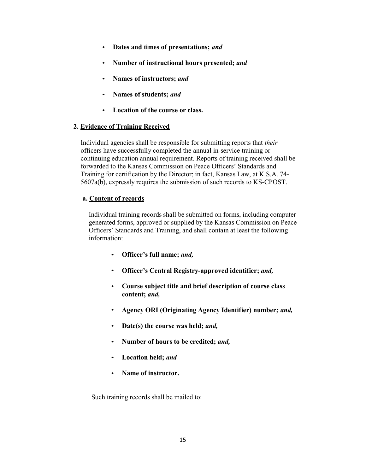- Dates and times of presentations; and
- Number of instructional hours presented; and
- Names of instructors; and
- Names of students; and
- Location of the course or class.

#### 2. Evidence of Training Received

Individual agencies shall be responsible for submitting reports that their officers have successfully completed the annual in-service training or continuing education annual requirement. Reports of training received shall be forwarded to the Kansas Commission on Peace Officers' Standards and Training for certification by the Director; in fact, Kansas Law, at K.S.A. 74- 5607a(b), expressly requires the submission of such records to KS-CPOST.

#### a. Content of records

Individual training records shall be submitted on forms, including computer generated forms, approved or supplied by the Kansas Commission on Peace Officers' Standards and Training, and shall contain at least the following information:

- Officer's full name; and,
- Officer's Central Registry-approved identifier; and,
- Course subject title and brief description of course class content; and,
- Agency ORI (Originating Agency Identifier) number; and,
- Date(s) the course was held; and,
- Number of hours to be credited; and,
- Location held; and
- Name of instructor.

Such training records shall be mailed to: